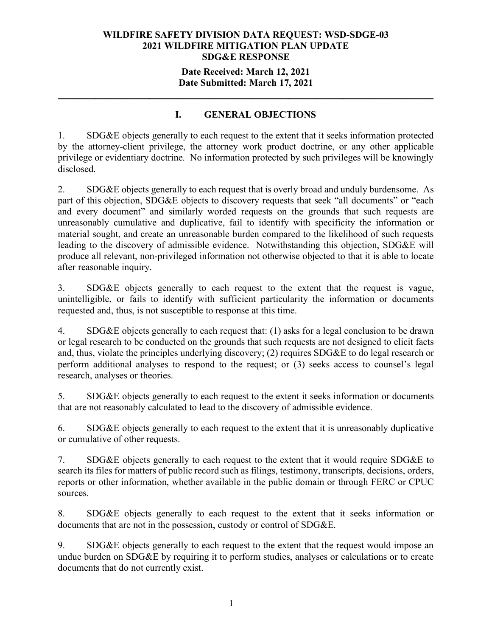### **Date Received: March 12, 2021 Date Submitted: March 17, 2021**

**\_\_\_\_\_\_\_\_\_\_\_\_\_\_\_\_\_\_\_\_\_\_\_\_\_\_\_\_\_\_\_\_\_\_\_\_\_\_\_\_\_\_\_\_\_\_\_\_\_\_\_\_\_\_\_\_\_\_\_\_\_\_\_\_\_\_\_\_\_\_**

### **I. GENERAL OBJECTIONS**

1. SDG&E objects generally to each request to the extent that it seeks information protected by the attorney-client privilege, the attorney work product doctrine, or any other applicable privilege or evidentiary doctrine. No information protected by such privileges will be knowingly disclosed.

2. SDG&E objects generally to each request that is overly broad and unduly burdensome. As part of this objection, SDG&E objects to discovery requests that seek "all documents" or "each and every document" and similarly worded requests on the grounds that such requests are unreasonably cumulative and duplicative, fail to identify with specificity the information or material sought, and create an unreasonable burden compared to the likelihood of such requests leading to the discovery of admissible evidence. Notwithstanding this objection, SDG&E will produce all relevant, non-privileged information not otherwise objected to that it is able to locate after reasonable inquiry.

3. SDG&E objects generally to each request to the extent that the request is vague, unintelligible, or fails to identify with sufficient particularity the information or documents requested and, thus, is not susceptible to response at this time.

4. SDG&E objects generally to each request that: (1) asks for a legal conclusion to be drawn or legal research to be conducted on the grounds that such requests are not designed to elicit facts and, thus, violate the principles underlying discovery; (2) requires SDG&E to do legal research or perform additional analyses to respond to the request; or (3) seeks access to counsel's legal research, analyses or theories.

5. SDG&E objects generally to each request to the extent it seeks information or documents that are not reasonably calculated to lead to the discovery of admissible evidence.

6. SDG&E objects generally to each request to the extent that it is unreasonably duplicative or cumulative of other requests.

7. SDG&E objects generally to each request to the extent that it would require SDG&E to search its files for matters of public record such as filings, testimony, transcripts, decisions, orders, reports or other information, whether available in the public domain or through FERC or CPUC sources.

8. SDG&E objects generally to each request to the extent that it seeks information or documents that are not in the possession, custody or control of SDG&E.

9. SDG&E objects generally to each request to the extent that the request would impose an undue burden on SDG&E by requiring it to perform studies, analyses or calculations or to create documents that do not currently exist.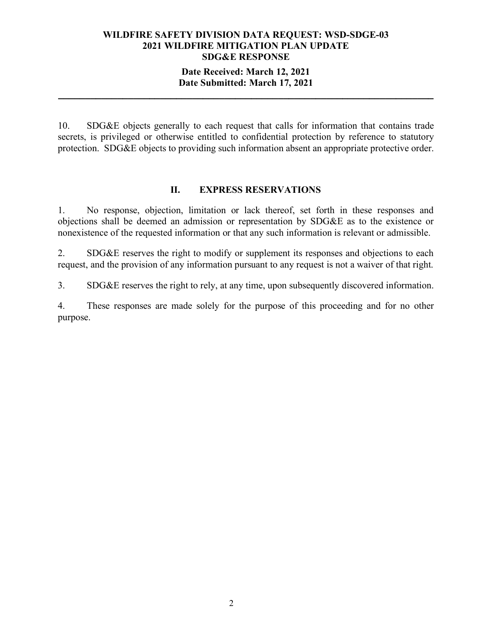### **Date Received: March 12, 2021 Date Submitted: March 17, 2021**

**\_\_\_\_\_\_\_\_\_\_\_\_\_\_\_\_\_\_\_\_\_\_\_\_\_\_\_\_\_\_\_\_\_\_\_\_\_\_\_\_\_\_\_\_\_\_\_\_\_\_\_\_\_\_\_\_\_\_\_\_\_\_\_\_\_\_\_\_\_\_**

10. SDG&E objects generally to each request that calls for information that contains trade secrets, is privileged or otherwise entitled to confidential protection by reference to statutory protection. SDG&E objects to providing such information absent an appropriate protective order.

#### **II. EXPRESS RESERVATIONS**

1. No response, objection, limitation or lack thereof, set forth in these responses and objections shall be deemed an admission or representation by SDG&E as to the existence or nonexistence of the requested information or that any such information is relevant or admissible.

2. SDG&E reserves the right to modify or supplement its responses and objections to each request, and the provision of any information pursuant to any request is not a waiver of that right.

3. SDG&E reserves the right to rely, at any time, upon subsequently discovered information.

4. These responses are made solely for the purpose of this proceeding and for no other purpose.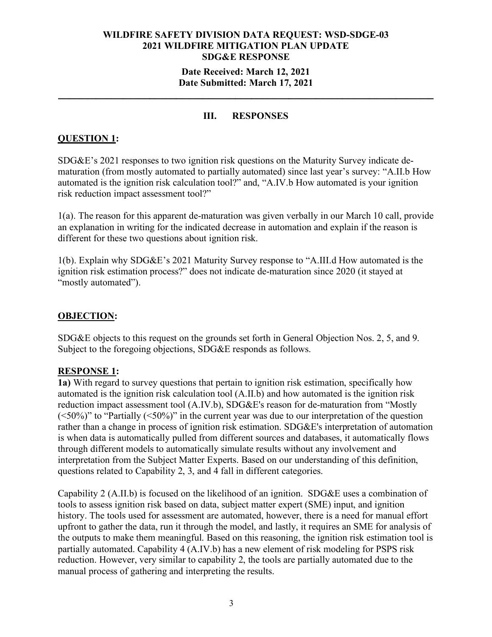#### **Date Received: March 12, 2021 Date Submitted: March 17, 2021**

**\_\_\_\_\_\_\_\_\_\_\_\_\_\_\_\_\_\_\_\_\_\_\_\_\_\_\_\_\_\_\_\_\_\_\_\_\_\_\_\_\_\_\_\_\_\_\_\_\_\_\_\_\_\_\_\_\_\_\_\_\_\_\_\_\_\_\_\_\_\_**

### **III. RESPONSES**

### **QUESTION 1:**

SDG&E's 2021 responses to two ignition risk questions on the Maturity Survey indicate dematuration (from mostly automated to partially automated) since last year's survey: "A.II.b How automated is the ignition risk calculation tool?" and, "A.IV.b How automated is your ignition risk reduction impact assessment tool?"

1(a). The reason for this apparent de-maturation was given verbally in our March 10 call, provide an explanation in writing for the indicated decrease in automation and explain if the reason is different for these two questions about ignition risk.

1(b). Explain why SDG&E's 2021 Maturity Survey response to "A.III.d How automated is the ignition risk estimation process?" does not indicate de-maturation since 2020 (it stayed at "mostly automated").

### **OBJECTION:**

SDG&E objects to this request on the grounds set forth in General Objection Nos. 2, 5, and 9. Subject to the foregoing objections, SDG&E responds as follows.

### **RESPONSE 1:**

**1a)** With regard to survey questions that pertain to ignition risk estimation, specifically how automated is the ignition risk calculation tool (A.II.b) and how automated is the ignition risk reduction impact assessment tool (A.IV.b), SDG&E's reason for de-maturation from "Mostly  $(<50\%)$ " to "Partially  $(<50\%)$ " in the current year was due to our interpretation of the question rather than a change in process of ignition risk estimation. SDG&E's interpretation of automation is when data is automatically pulled from different sources and databases, it automatically flows through different models to automatically simulate results without any involvement and interpretation from the Subject Matter Experts. Based on our understanding of this definition, questions related to Capability 2, 3, and 4 fall in different categories.

Capability 2 (A.II.b) is focused on the likelihood of an ignition. SDG&E uses a combination of tools to assess ignition risk based on data, subject matter expert (SME) input, and ignition history. The tools used for assessment are automated, however, there is a need for manual effort upfront to gather the data, run it through the model, and lastly, it requires an SME for analysis of the outputs to make them meaningful. Based on this reasoning, the ignition risk estimation tool is partially automated. Capability 4 (A.IV.b) has a new element of risk modeling for PSPS risk reduction. However, very similar to capability 2, the tools are partially automated due to the manual process of gathering and interpreting the results.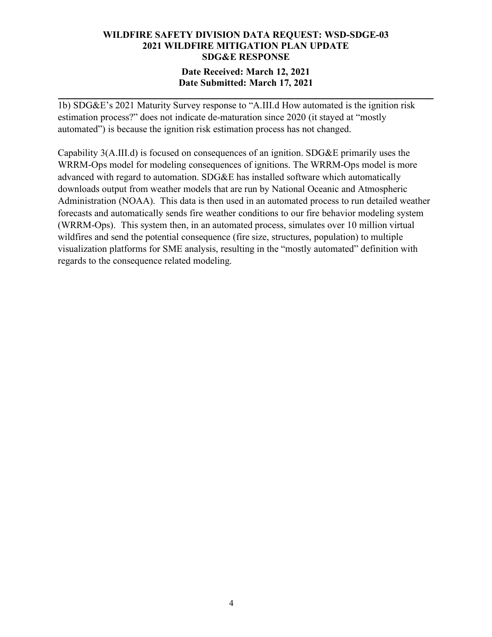### **Date Received: March 12, 2021 Date Submitted: March 17, 2021**

**\_\_\_\_\_\_\_\_\_\_\_\_\_\_\_\_\_\_\_\_\_\_\_\_\_\_\_\_\_\_\_\_\_\_\_\_\_\_\_\_\_\_\_\_\_\_\_\_\_\_\_\_\_\_\_\_\_\_\_\_\_\_\_\_\_\_\_\_\_\_**

1b) SDG&E's 2021 Maturity Survey response to "A.III.d How automated is the ignition risk estimation process?" does not indicate de-maturation since 2020 (it stayed at "mostly automated") is because the ignition risk estimation process has not changed.

Capability 3(A.III.d) is focused on consequences of an ignition. SDG&E primarily uses the WRRM-Ops model for modeling consequences of ignitions. The WRRM-Ops model is more advanced with regard to automation. SDG&E has installed software which automatically downloads output from weather models that are run by National Oceanic and Atmospheric Administration (NOAA). This data is then used in an automated process to run detailed weather forecasts and automatically sends fire weather conditions to our fire behavior modeling system (WRRM-Ops). This system then, in an automated process, simulates over 10 million virtual wildfires and send the potential consequence (fire size, structures, population) to multiple visualization platforms for SME analysis, resulting in the "mostly automated" definition with regards to the consequence related modeling.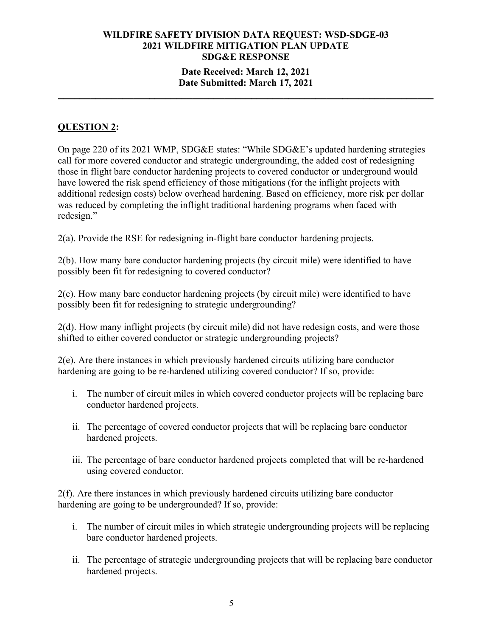#### **Date Received: March 12, 2021 Date Submitted: March 17, 2021**

**\_\_\_\_\_\_\_\_\_\_\_\_\_\_\_\_\_\_\_\_\_\_\_\_\_\_\_\_\_\_\_\_\_\_\_\_\_\_\_\_\_\_\_\_\_\_\_\_\_\_\_\_\_\_\_\_\_\_\_\_\_\_\_\_\_\_\_\_\_\_**

### **QUESTION 2:**

On page 220 of its 2021 WMP, SDG&E states: "While SDG&E's updated hardening strategies call for more covered conductor and strategic undergrounding, the added cost of redesigning those in flight bare conductor hardening projects to covered conductor or underground would have lowered the risk spend efficiency of those mitigations (for the inflight projects with additional redesign costs) below overhead hardening. Based on efficiency, more risk per dollar was reduced by completing the inflight traditional hardening programs when faced with redesign."

2(a). Provide the RSE for redesigning in-flight bare conductor hardening projects.

2(b). How many bare conductor hardening projects (by circuit mile) were identified to have possibly been fit for redesigning to covered conductor?

2(c). How many bare conductor hardening projects (by circuit mile) were identified to have possibly been fit for redesigning to strategic undergrounding?

2(d). How many inflight projects (by circuit mile) did not have redesign costs, and were those shifted to either covered conductor or strategic undergrounding projects?

2(e). Are there instances in which previously hardened circuits utilizing bare conductor hardening are going to be re-hardened utilizing covered conductor? If so, provide:

- i. The number of circuit miles in which covered conductor projects will be replacing bare conductor hardened projects.
- ii. The percentage of covered conductor projects that will be replacing bare conductor hardened projects.
- iii. The percentage of bare conductor hardened projects completed that will be re-hardened using covered conductor.

2(f). Are there instances in which previously hardened circuits utilizing bare conductor hardening are going to be undergrounded? If so, provide:

- i. The number of circuit miles in which strategic undergrounding projects will be replacing bare conductor hardened projects.
- ii. The percentage of strategic undergrounding projects that will be replacing bare conductor hardened projects.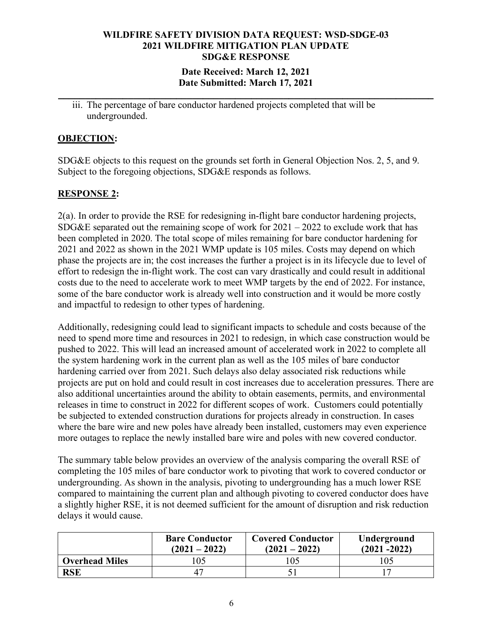### **Date Received: March 12, 2021 Date Submitted: March 17, 2021**

**\_\_\_\_\_\_\_\_\_\_\_\_\_\_\_\_\_\_\_\_\_\_\_\_\_\_\_\_\_\_\_\_\_\_\_\_\_\_\_\_\_\_\_\_\_\_\_\_\_\_\_\_\_\_\_\_\_\_\_\_\_\_\_\_\_\_\_\_\_\_**

iii. The percentage of bare conductor hardened projects completed that will be undergrounded.

### **OBJECTION:**

SDG&E objects to this request on the grounds set forth in General Objection Nos. 2, 5, and 9. Subject to the foregoing objections, SDG&E responds as follows.

### **RESPONSE 2:**

2(a). In order to provide the RSE for redesigning in-flight bare conductor hardening projects, SDG&E separated out the remaining scope of work for  $2021 - 2022$  to exclude work that has been completed in 2020. The total scope of miles remaining for bare conductor hardening for 2021 and 2022 as shown in the 2021 WMP update is 105 miles. Costs may depend on which phase the projects are in; the cost increases the further a project is in its lifecycle due to level of effort to redesign the in-flight work. The cost can vary drastically and could result in additional costs due to the need to accelerate work to meet WMP targets by the end of 2022. For instance, some of the bare conductor work is already well into construction and it would be more costly and impactful to redesign to other types of hardening.

Additionally, redesigning could lead to significant impacts to schedule and costs because of the need to spend more time and resources in 2021 to redesign, in which case construction would be pushed to 2022. This will lead an increased amount of accelerated work in 2022 to complete all the system hardening work in the current plan as well as the 105 miles of bare conductor hardening carried over from 2021. Such delays also delay associated risk reductions while projects are put on hold and could result in cost increases due to acceleration pressures. There are also additional uncertainties around the ability to obtain easements, permits, and environmental releases in time to construct in 2022 for different scopes of work. Customers could potentially be subjected to extended construction durations for projects already in construction. In cases where the bare wire and new poles have already been installed, customers may even experience more outages to replace the newly installed bare wire and poles with new covered conductor.

The summary table below provides an overview of the analysis comparing the overall RSE of completing the 105 miles of bare conductor work to pivoting that work to covered conductor or undergrounding. As shown in the analysis, pivoting to undergrounding has a much lower RSE compared to maintaining the current plan and although pivoting to covered conductor does have a slightly higher RSE, it is not deemed sufficient for the amount of disruption and risk reduction delays it would cause.

|                       | <b>Bare Conductor</b><br>$(2021 - 2022)$ | <b>Covered Conductor</b><br>$(2021 - 2022)$ | Underground<br>$(2021 - 2022)$ |
|-----------------------|------------------------------------------|---------------------------------------------|--------------------------------|
| <b>Overhead Miles</b> | 05                                       | 105                                         | 05                             |
| <b>RSE</b>            |                                          |                                             |                                |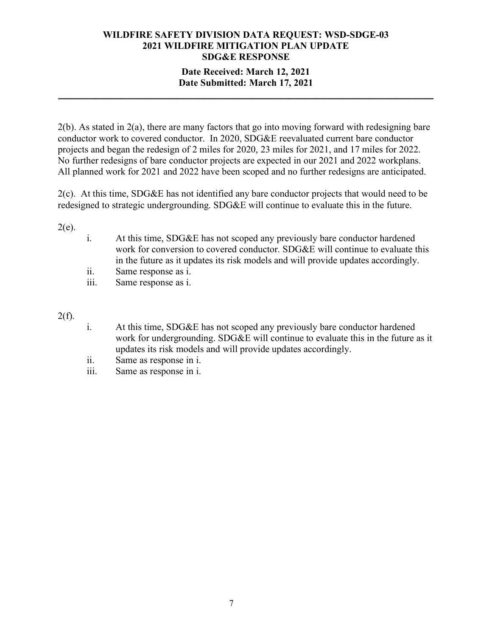### **Date Received: March 12, 2021 Date Submitted: March 17, 2021**

**\_\_\_\_\_\_\_\_\_\_\_\_\_\_\_\_\_\_\_\_\_\_\_\_\_\_\_\_\_\_\_\_\_\_\_\_\_\_\_\_\_\_\_\_\_\_\_\_\_\_\_\_\_\_\_\_\_\_\_\_\_\_\_\_\_\_\_\_\_\_**

2(b). As stated in 2(a), there are many factors that go into moving forward with redesigning bare conductor work to covered conductor. In 2020, SDG&E reevaluated current bare conductor projects and began the redesign of 2 miles for 2020, 23 miles for 2021, and 17 miles for 2022. No further redesigns of bare conductor projects are expected in our 2021 and 2022 workplans. All planned work for 2021 and 2022 have been scoped and no further redesigns are anticipated.

2(c). At this time, SDG&E has not identified any bare conductor projects that would need to be redesigned to strategic undergrounding. SDG&E will continue to evaluate this in the future.

 $2(e)$ .

- i. At this time, SDG&E has not scoped any previously bare conductor hardened work for conversion to covered conductor. SDG&E will continue to evaluate this in the future as it updates its risk models and will provide updates accordingly.
- ii. Same response as i.
- iii. Same response as i.

 $2(f)$ .

- i. At this time, SDG&E has not scoped any previously bare conductor hardened work for undergrounding. SDG&E will continue to evaluate this in the future as it updates its risk models and will provide updates accordingly.
- ii. Same as response in i.
- iii. Same as response in i.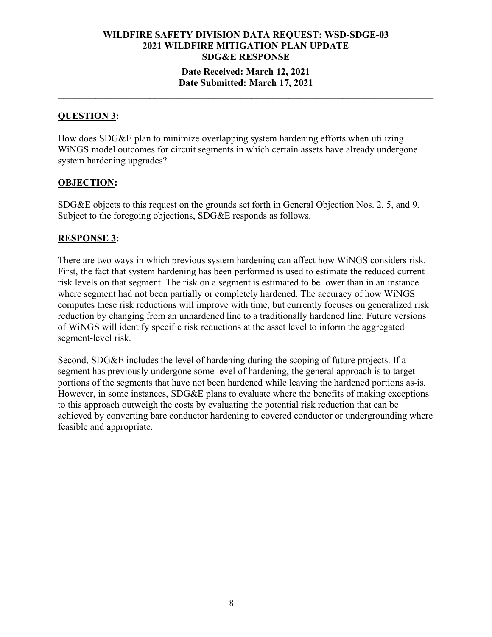### **Date Received: March 12, 2021 Date Submitted: March 17, 2021**

**\_\_\_\_\_\_\_\_\_\_\_\_\_\_\_\_\_\_\_\_\_\_\_\_\_\_\_\_\_\_\_\_\_\_\_\_\_\_\_\_\_\_\_\_\_\_\_\_\_\_\_\_\_\_\_\_\_\_\_\_\_\_\_\_\_\_\_\_\_\_**

### **QUESTION 3:**

How does SDG&E plan to minimize overlapping system hardening efforts when utilizing WiNGS model outcomes for circuit segments in which certain assets have already undergone system hardening upgrades?

### **OBJECTION:**

SDG&E objects to this request on the grounds set forth in General Objection Nos. 2, 5, and 9. Subject to the foregoing objections, SDG&E responds as follows.

### **RESPONSE 3:**

There are two ways in which previous system hardening can affect how WiNGS considers risk. First, the fact that system hardening has been performed is used to estimate the reduced current risk levels on that segment. The risk on a segment is estimated to be lower than in an instance where segment had not been partially or completely hardened. The accuracy of how WiNGS computes these risk reductions will improve with time, but currently focuses on generalized risk reduction by changing from an unhardened line to a traditionally hardened line. Future versions of WiNGS will identify specific risk reductions at the asset level to inform the aggregated segment-level risk.

Second, SDG&E includes the level of hardening during the scoping of future projects. If a segment has previously undergone some level of hardening, the general approach is to target portions of the segments that have not been hardened while leaving the hardened portions as-is. However, in some instances, SDG&E plans to evaluate where the benefits of making exceptions to this approach outweigh the costs by evaluating the potential risk reduction that can be achieved by converting bare conductor hardening to covered conductor or undergrounding where feasible and appropriate.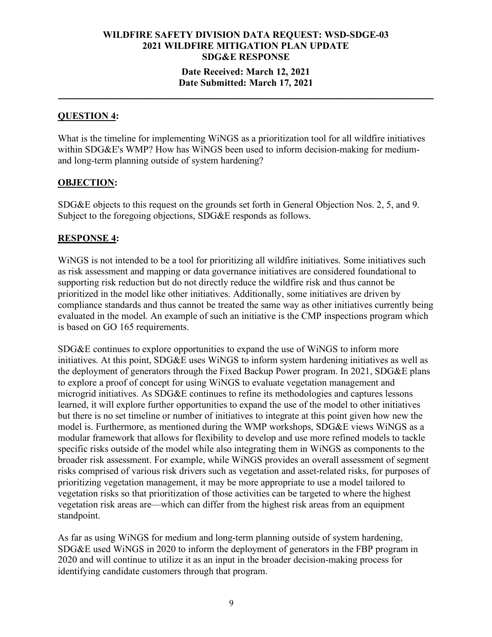#### **Date Received: March 12, 2021 Date Submitted: March 17, 2021**

**\_\_\_\_\_\_\_\_\_\_\_\_\_\_\_\_\_\_\_\_\_\_\_\_\_\_\_\_\_\_\_\_\_\_\_\_\_\_\_\_\_\_\_\_\_\_\_\_\_\_\_\_\_\_\_\_\_\_\_\_\_\_\_\_\_\_\_\_\_\_**

### **QUESTION 4:**

What is the timeline for implementing WiNGS as a prioritization tool for all wildfire initiatives within SDG&E's WMP? How has WiNGS been used to inform decision-making for mediumand long-term planning outside of system hardening?

#### **OBJECTION:**

SDG&E objects to this request on the grounds set forth in General Objection Nos. 2, 5, and 9. Subject to the foregoing objections, SDG&E responds as follows.

#### **RESPONSE 4:**

WiNGS is not intended to be a tool for prioritizing all wildfire initiatives. Some initiatives such as risk assessment and mapping or data governance initiatives are considered foundational to supporting risk reduction but do not directly reduce the wildfire risk and thus cannot be prioritized in the model like other initiatives. Additionally, some initiatives are driven by compliance standards and thus cannot be treated the same way as other initiatives currently being evaluated in the model. An example of such an initiative is the CMP inspections program which is based on GO 165 requirements.

SDG&E continues to explore opportunities to expand the use of WiNGS to inform more initiatives. At this point, SDG&E uses WiNGS to inform system hardening initiatives as well as the deployment of generators through the Fixed Backup Power program. In 2021, SDG&E plans to explore a proof of concept for using WiNGS to evaluate vegetation management and microgrid initiatives. As SDG&E continues to refine its methodologies and captures lessons learned, it will explore further opportunities to expand the use of the model to other initiatives but there is no set timeline or number of initiatives to integrate at this point given how new the model is. Furthermore, as mentioned during the WMP workshops, SDG&E views WiNGS as a modular framework that allows for flexibility to develop and use more refined models to tackle specific risks outside of the model while also integrating them in WiNGS as components to the broader risk assessment. For example, while WiNGS provides an overall assessment of segment risks comprised of various risk drivers such as vegetation and asset-related risks, for purposes of prioritizing vegetation management, it may be more appropriate to use a model tailored to vegetation risks so that prioritization of those activities can be targeted to where the highest vegetation risk areas are—which can differ from the highest risk areas from an equipment standpoint.

As far as using WiNGS for medium and long-term planning outside of system hardening, SDG&E used WiNGS in 2020 to inform the deployment of generators in the FBP program in 2020 and will continue to utilize it as an input in the broader decision-making process for identifying candidate customers through that program.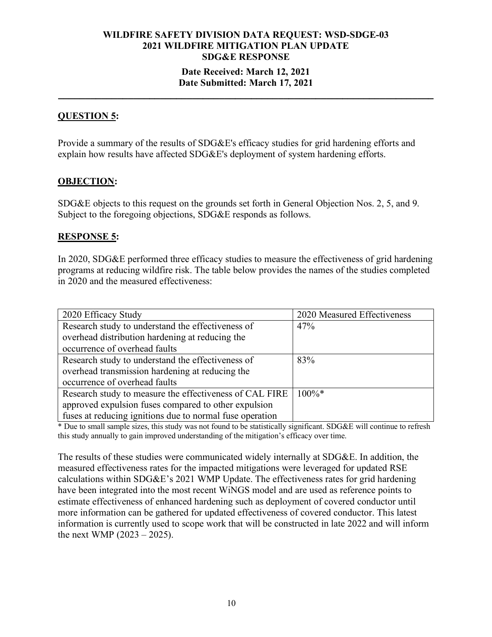#### **Date Received: March 12, 2021 Date Submitted: March 17, 2021**

**\_\_\_\_\_\_\_\_\_\_\_\_\_\_\_\_\_\_\_\_\_\_\_\_\_\_\_\_\_\_\_\_\_\_\_\_\_\_\_\_\_\_\_\_\_\_\_\_\_\_\_\_\_\_\_\_\_\_\_\_\_\_\_\_\_\_\_\_\_\_**

### **QUESTION 5:**

Provide a summary of the results of SDG&E's efficacy studies for grid hardening efforts and explain how results have affected SDG&E's deployment of system hardening efforts.

### **OBJECTION:**

SDG&E objects to this request on the grounds set forth in General Objection Nos. 2, 5, and 9. Subject to the foregoing objections, SDG&E responds as follows.

#### **RESPONSE 5:**

In 2020, SDG&E performed three efficacy studies to measure the effectiveness of grid hardening programs at reducing wildfire risk. The table below provides the names of the studies completed in 2020 and the measured effectiveness:

| 2020 Efficacy Study                                      | 2020 Measured Effectiveness |
|----------------------------------------------------------|-----------------------------|
| Research study to understand the effectiveness of        | 47%                         |
| overhead distribution hardening at reducing the          |                             |
| occurrence of overhead faults                            |                             |
| Research study to understand the effectiveness of        | 83%                         |
| overhead transmission hardening at reducing the          |                             |
| occurrence of overhead faults                            |                             |
| Research study to measure the effectiveness of CAL FIRE  | $100\%*$                    |
| approved expulsion fuses compared to other expulsion     |                             |
| fuses at reducing ignitions due to normal fuse operation |                             |

\* Due to small sample sizes, this study was not found to be statistically significant. SDG&E will continue to refresh this study annually to gain improved understanding of the mitigation's efficacy over time.

The results of these studies were communicated widely internally at SDG&E. In addition, the measured effectiveness rates for the impacted mitigations were leveraged for updated RSE calculations within SDG&E's 2021 WMP Update. The effectiveness rates for grid hardening have been integrated into the most recent WiNGS model and are used as reference points to estimate effectiveness of enhanced hardening such as deployment of covered conductor until more information can be gathered for updated effectiveness of covered conductor. This latest information is currently used to scope work that will be constructed in late 2022 and will inform the next WMP (2023 – 2025).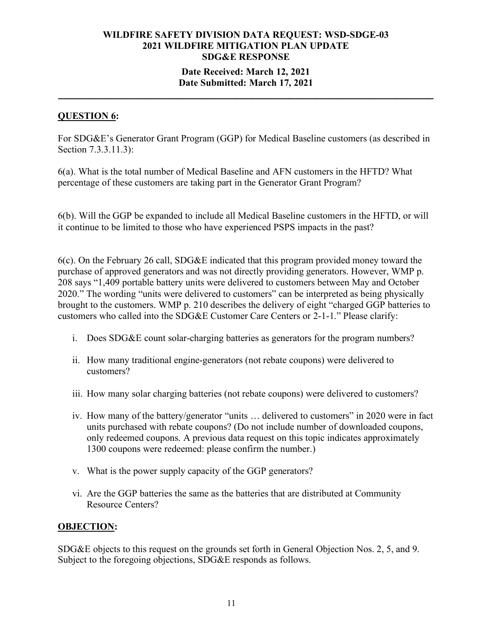### **Date Received: March 12, 2021 Date Submitted: March 17, 2021**

**\_\_\_\_\_\_\_\_\_\_\_\_\_\_\_\_\_\_\_\_\_\_\_\_\_\_\_\_\_\_\_\_\_\_\_\_\_\_\_\_\_\_\_\_\_\_\_\_\_\_\_\_\_\_\_\_\_\_\_\_\_\_\_\_\_\_\_\_\_\_**

### **QUESTION 6:**

For SDG&E's Generator Grant Program (GGP) for Medical Baseline customers (as described in Section 7.3.3.11.3):

6(a). What is the total number of Medical Baseline and AFN customers in the HFTD? What percentage of these customers are taking part in the Generator Grant Program?

6(b). Will the GGP be expanded to include all Medical Baseline customers in the HFTD, or will it continue to be limited to those who have experienced PSPS impacts in the past?

6(c). On the February 26 call, SDG&E indicated that this program provided money toward the purchase of approved generators and was not directly providing generators. However, WMP p. 208 says "1,409 portable battery units were delivered to customers between May and October 2020." The wording "units were delivered to customers" can be interpreted as being physically brought to the customers. WMP p. 210 describes the delivery of eight "charged GGP batteries to customers who called into the SDG&E Customer Care Centers or 2‐1‐1." Please clarify:

- i. Does SDG&E count solar-charging batteries as generators for the program numbers?
- ii. How many traditional engine-generators (not rebate coupons) were delivered to customers?
- iii. How many solar charging batteries (not rebate coupons) were delivered to customers?
- iv. How many of the battery/generator "units … delivered to customers" in 2020 were in fact units purchased with rebate coupons? (Do not include number of downloaded coupons, only redeemed coupons. A previous data request on this topic indicates approximately 1300 coupons were redeemed: please confirm the number.)
- v. What is the power supply capacity of the GGP generators?
- vi. Are the GGP batteries the same as the batteries that are distributed at Community Resource Centers?

#### **OBJECTION:**

SDG&E objects to this request on the grounds set forth in General Objection Nos. 2, 5, and 9. Subject to the foregoing objections, SDG&E responds as follows.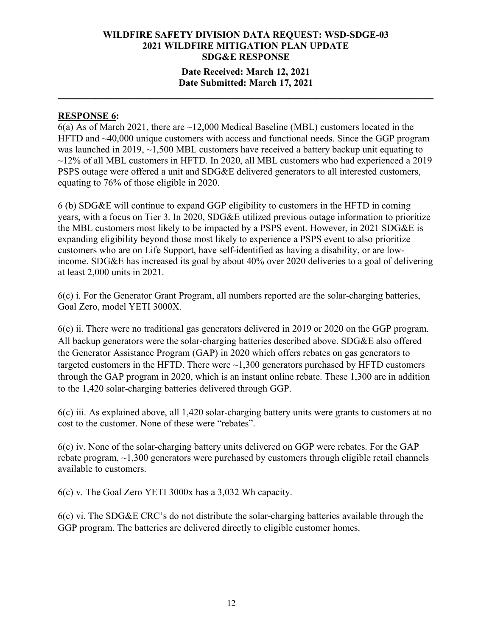### **Date Received: March 12, 2021 Date Submitted: March 17, 2021**

**\_\_\_\_\_\_\_\_\_\_\_\_\_\_\_\_\_\_\_\_\_\_\_\_\_\_\_\_\_\_\_\_\_\_\_\_\_\_\_\_\_\_\_\_\_\_\_\_\_\_\_\_\_\_\_\_\_\_\_\_\_\_\_\_\_\_\_\_\_\_**

#### **RESPONSE 6:**

6(a) As of March 2021, there are ~12,000 Medical Baseline (MBL) customers located in the HFTD and ~40,000 unique customers with access and functional needs. Since the GGP program was launched in 2019,  $\sim$ 1,500 MBL customers have received a battery backup unit equating to  $\sim$ 12% of all MBL customers in HFTD. In 2020, all MBL customers who had experienced a 2019 PSPS outage were offered a unit and SDG&E delivered generators to all interested customers, equating to 76% of those eligible in 2020.

6 (b) SDG&E will continue to expand GGP eligibility to customers in the HFTD in coming years, with a focus on Tier 3. In 2020, SDG&E utilized previous outage information to prioritize the MBL customers most likely to be impacted by a PSPS event. However, in 2021 SDG&E is expanding eligibility beyond those most likely to experience a PSPS event to also prioritize customers who are on Life Support, have self-identified as having a disability, or are lowincome. SDG&E has increased its goal by about 40% over 2020 deliveries to a goal of delivering at least 2,000 units in 2021.

6(c) i. For the Generator Grant Program, all numbers reported are the solar-charging batteries, Goal Zero, model YETI 3000X.

6(c) ii. There were no traditional gas generators delivered in 2019 or 2020 on the GGP program. All backup generators were the solar-charging batteries described above. SDG&E also offered the Generator Assistance Program (GAP) in 2020 which offers rebates on gas generators to targeted customers in the HFTD. There were  $\sim$ 1,300 generators purchased by HFTD customers through the GAP program in 2020, which is an instant online rebate. These 1,300 are in addition to the 1,420 solar-charging batteries delivered through GGP.

6(c) iii. As explained above, all 1,420 solar-charging battery units were grants to customers at no cost to the customer. None of these were "rebates".

6(c) iv. None of the solar-charging battery units delivered on GGP were rebates. For the GAP rebate program,  $\sim$ 1,300 generators were purchased by customers through eligible retail channels available to customers.

6(c) v. The Goal Zero YETI 3000x has a 3,032 Wh capacity.

6(c) vi. The SDG&E CRC's do not distribute the solar-charging batteries available through the GGP program. The batteries are delivered directly to eligible customer homes.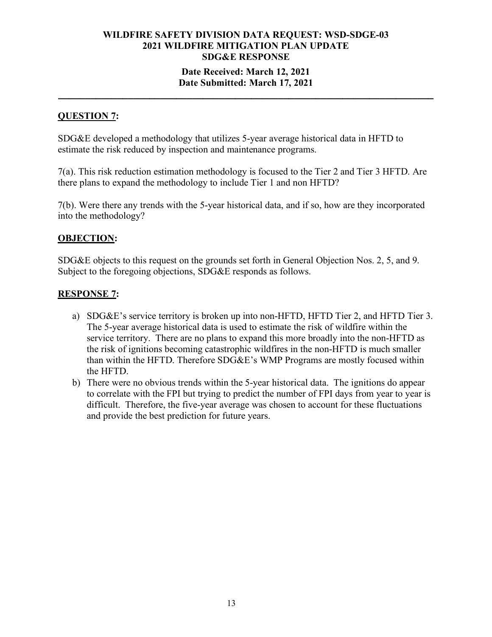#### **Date Received: March 12, 2021 Date Submitted: March 17, 2021**

**\_\_\_\_\_\_\_\_\_\_\_\_\_\_\_\_\_\_\_\_\_\_\_\_\_\_\_\_\_\_\_\_\_\_\_\_\_\_\_\_\_\_\_\_\_\_\_\_\_\_\_\_\_\_\_\_\_\_\_\_\_\_\_\_\_\_\_\_\_\_**

#### **QUESTION 7:**

SDG&E developed a methodology that utilizes 5-year average historical data in HFTD to estimate the risk reduced by inspection and maintenance programs.

7(a). This risk reduction estimation methodology is focused to the Tier 2 and Tier 3 HFTD. Are there plans to expand the methodology to include Tier 1 and non HFTD?

7(b). Were there any trends with the 5-year historical data, and if so, how are they incorporated into the methodology?

#### **OBJECTION:**

SDG&E objects to this request on the grounds set forth in General Objection Nos. 2, 5, and 9. Subject to the foregoing objections, SDG&E responds as follows.

### **RESPONSE 7:**

- a) SDG&E's service territory is broken up into non-HFTD, HFTD Tier 2, and HFTD Tier 3. The 5-year average historical data is used to estimate the risk of wildfire within the service territory. There are no plans to expand this more broadly into the non-HFTD as the risk of ignitions becoming catastrophic wildfires in the non-HFTD is much smaller than within the HFTD. Therefore SDG&E's WMP Programs are mostly focused within the HFTD.
- b) There were no obvious trends within the 5-year historical data. The ignitions do appear to correlate with the FPI but trying to predict the number of FPI days from year to year is difficult. Therefore, the five-year average was chosen to account for these fluctuations and provide the best prediction for future years.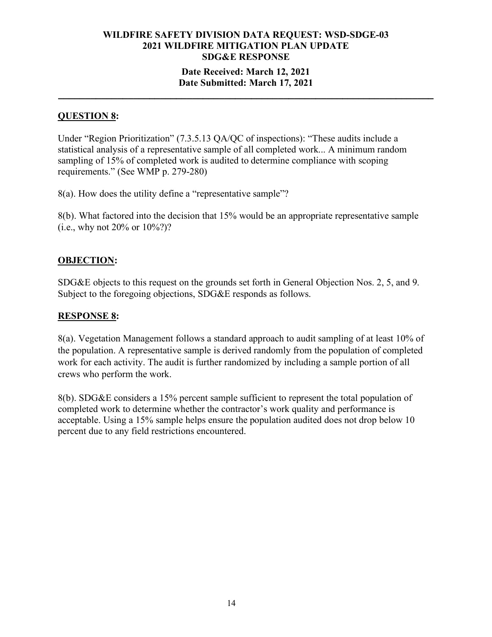#### **Date Received: March 12, 2021 Date Submitted: March 17, 2021**

**\_\_\_\_\_\_\_\_\_\_\_\_\_\_\_\_\_\_\_\_\_\_\_\_\_\_\_\_\_\_\_\_\_\_\_\_\_\_\_\_\_\_\_\_\_\_\_\_\_\_\_\_\_\_\_\_\_\_\_\_\_\_\_\_\_\_\_\_\_\_**

### **QUESTION 8:**

Under "Region Prioritization" (7.3.5.13 QA/QC of inspections): "These audits include a statistical analysis of a representative sample of all completed work... A minimum random sampling of 15% of completed work is audited to determine compliance with scoping requirements." (See WMP p. 279-280)

8(a). How does the utility define a "representative sample"?

8(b). What factored into the decision that 15% would be an appropriate representative sample (i.e., why not 20% or 10%?)?

### **OBJECTION:**

SDG&E objects to this request on the grounds set forth in General Objection Nos. 2, 5, and 9. Subject to the foregoing objections, SDG&E responds as follows.

### **RESPONSE 8:**

8(a). Vegetation Management follows a standard approach to audit sampling of at least 10% of the population. A representative sample is derived randomly from the population of completed work for each activity. The audit is further randomized by including a sample portion of all crews who perform the work.

8(b). SDG&E considers a 15% percent sample sufficient to represent the total population of completed work to determine whether the contractor's work quality and performance is acceptable. Using a 15% sample helps ensure the population audited does not drop below 10 percent due to any field restrictions encountered.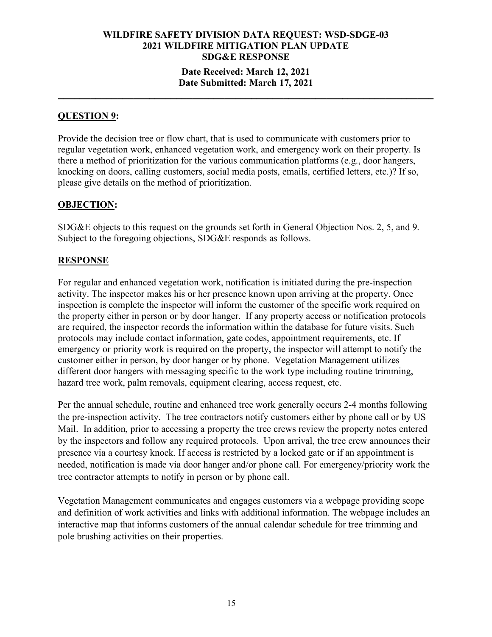### **WILDFIRE SAFETY DIVISION DATA REQUEST: WSD-SDGE-03 2021 WILDFIRE MITIGATION PLAN UPDATE SDG&E RESPONSE Date Received: March 12, 2021**

### **Date Submitted: March 17, 2021 \_\_\_\_\_\_\_\_\_\_\_\_\_\_\_\_\_\_\_\_\_\_\_\_\_\_\_\_\_\_\_\_\_\_\_\_\_\_\_\_\_\_\_\_\_\_\_\_\_\_\_\_\_\_\_\_\_\_\_\_\_\_\_\_\_\_\_\_\_\_**

#### **QUESTION 9:**

Provide the decision tree or flow chart, that is used to communicate with customers prior to regular vegetation work, enhanced vegetation work, and emergency work on their property. Is there a method of prioritization for the various communication platforms (e.g., door hangers, knocking on doors, calling customers, social media posts, emails, certified letters, etc.)? If so, please give details on the method of prioritization.

#### **OBJECTION:**

SDG&E objects to this request on the grounds set forth in General Objection Nos. 2, 5, and 9. Subject to the foregoing objections, SDG&E responds as follows.

### **RESPONSE**

For regular and enhanced vegetation work, notification is initiated during the pre-inspection activity. The inspector makes his or her presence known upon arriving at the property. Once inspection is complete the inspector will inform the customer of the specific work required on the property either in person or by door hanger. If any property access or notification protocols are required, the inspector records the information within the database for future visits. Such protocols may include contact information, gate codes, appointment requirements, etc. If emergency or priority work is required on the property, the inspector will attempt to notify the customer either in person, by door hanger or by phone. Vegetation Management utilizes different door hangers with messaging specific to the work type including routine trimming, hazard tree work, palm removals, equipment clearing, access request, etc.

Per the annual schedule, routine and enhanced tree work generally occurs 2-4 months following the pre-inspection activity. The tree contractors notify customers either by phone call or by US Mail. In addition, prior to accessing a property the tree crews review the property notes entered by the inspectors and follow any required protocols. Upon arrival, the tree crew announces their presence via a courtesy knock. If access is restricted by a locked gate or if an appointment is needed, notification is made via door hanger and/or phone call. For emergency/priority work the tree contractor attempts to notify in person or by phone call.

Vegetation Management communicates and engages customers via a webpage providing scope and definition of work activities and links with additional information. The webpage includes an interactive map that informs customers of the annual calendar schedule for tree trimming and pole brushing activities on their properties.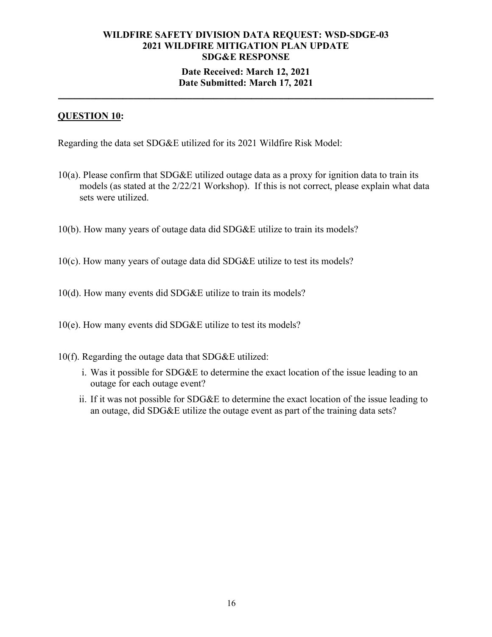## **WILDFIRE SAFETY DIVISION DATA REQUEST: WSD-SDGE-03 2021 WILDFIRE MITIGATION PLAN UPDATE SDG&E RESPONSE Date Received: March 12, 2021**

## **Date Submitted: March 17, 2021 \_\_\_\_\_\_\_\_\_\_\_\_\_\_\_\_\_\_\_\_\_\_\_\_\_\_\_\_\_\_\_\_\_\_\_\_\_\_\_\_\_\_\_\_\_\_\_\_\_\_\_\_\_\_\_\_\_\_\_\_\_\_\_\_\_\_\_\_\_\_**

### **QUESTION 10:**

Regarding the data set SDG&E utilized for its 2021 Wildfire Risk Model:

- 10(a). Please confirm that SDG&E utilized outage data as a proxy for ignition data to train its models (as stated at the 2/22/21 Workshop). If this is not correct, please explain what data sets were utilized.
- 10(b). How many years of outage data did SDG&E utilize to train its models?
- 10(c). How many years of outage data did SDG&E utilize to test its models?
- 10(d). How many events did SDG&E utilize to train its models?
- 10(e). How many events did SDG&E utilize to test its models?
- 10(f). Regarding the outage data that SDG&E utilized:
	- i. Was it possible for SDG&E to determine the exact location of the issue leading to an outage for each outage event?
	- ii. If it was not possible for SDG&E to determine the exact location of the issue leading to an outage, did SDG&E utilize the outage event as part of the training data sets?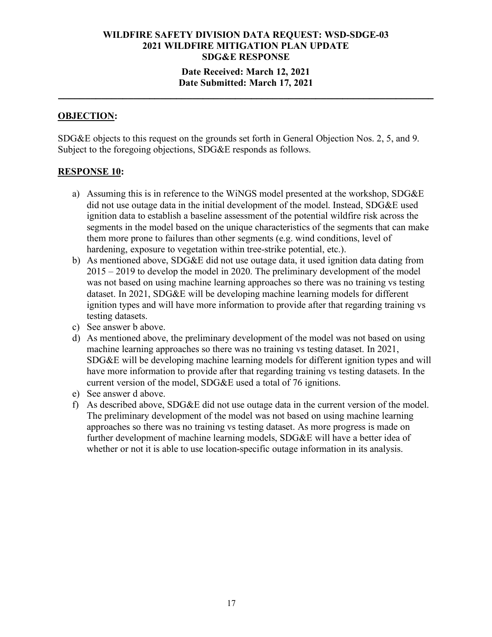### **Date Received: March 12, 2021 Date Submitted: March 17, 2021**

**\_\_\_\_\_\_\_\_\_\_\_\_\_\_\_\_\_\_\_\_\_\_\_\_\_\_\_\_\_\_\_\_\_\_\_\_\_\_\_\_\_\_\_\_\_\_\_\_\_\_\_\_\_\_\_\_\_\_\_\_\_\_\_\_\_\_\_\_\_\_**

#### **OBJECTION:**

SDG&E objects to this request on the grounds set forth in General Objection Nos. 2, 5, and 9. Subject to the foregoing objections, SDG&E responds as follows.

#### **RESPONSE 10:**

- a) Assuming this is in reference to the WiNGS model presented at the workshop, SDG&E did not use outage data in the initial development of the model. Instead, SDG&E used ignition data to establish a baseline assessment of the potential wildfire risk across the segments in the model based on the unique characteristics of the segments that can make them more prone to failures than other segments (e.g. wind conditions, level of hardening, exposure to vegetation within tree-strike potential, etc.).
- b) As mentioned above, SDG&E did not use outage data, it used ignition data dating from 2015 – 2019 to develop the model in 2020. The preliminary development of the model was not based on using machine learning approaches so there was no training vs testing dataset. In 2021, SDG&E will be developing machine learning models for different ignition types and will have more information to provide after that regarding training vs testing datasets.
- c) See answer b above.
- d) As mentioned above, the preliminary development of the model was not based on using machine learning approaches so there was no training vs testing dataset. In 2021, SDG&E will be developing machine learning models for different ignition types and will have more information to provide after that regarding training vs testing datasets. In the current version of the model, SDG&E used a total of 76 ignitions.
- e) See answer d above.
- f) As described above, SDG&E did not use outage data in the current version of the model. The preliminary development of the model was not based on using machine learning approaches so there was no training vs testing dataset. As more progress is made on further development of machine learning models, SDG&E will have a better idea of whether or not it is able to use location-specific outage information in its analysis.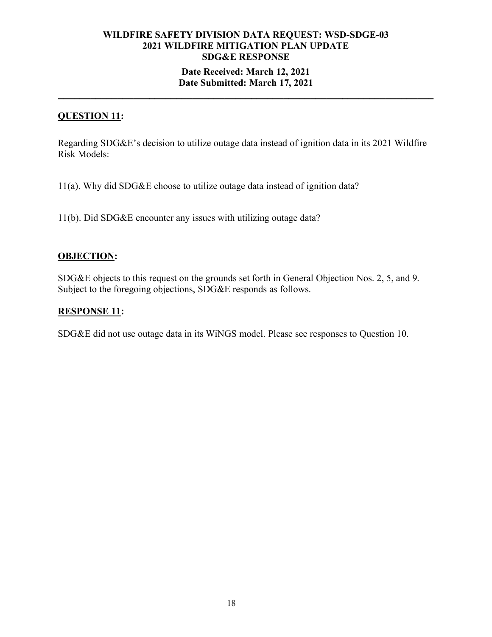### **WILDFIRE SAFETY DIVISION DATA REQUEST: WSD-SDGE-03 2021 WILDFIRE MITIGATION PLAN UPDATE SDG&E RESPONSE Date Received: March 12, 2021**

# **Date Submitted: March 17, 2021 \_\_\_\_\_\_\_\_\_\_\_\_\_\_\_\_\_\_\_\_\_\_\_\_\_\_\_\_\_\_\_\_\_\_\_\_\_\_\_\_\_\_\_\_\_\_\_\_\_\_\_\_\_\_\_\_\_\_\_\_\_\_\_\_\_\_\_\_\_\_**

### **QUESTION 11:**

Regarding SDG&E's decision to utilize outage data instead of ignition data in its 2021 Wildfire Risk Models:

11(a). Why did SDG&E choose to utilize outage data instead of ignition data?

11(b). Did SDG&E encounter any issues with utilizing outage data?

#### **OBJECTION:**

SDG&E objects to this request on the grounds set forth in General Objection Nos. 2, 5, and 9. Subject to the foregoing objections, SDG&E responds as follows.

### **RESPONSE 11:**

SDG&E did not use outage data in its WiNGS model. Please see responses to Question 10.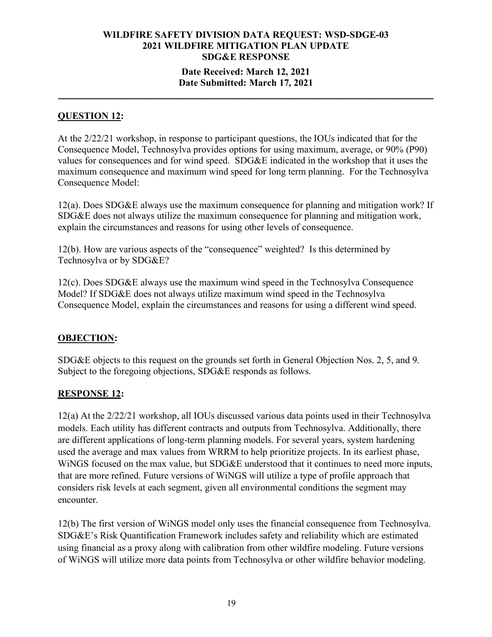### **Date Received: March 12, 2021 Date Submitted: March 17, 2021**

**\_\_\_\_\_\_\_\_\_\_\_\_\_\_\_\_\_\_\_\_\_\_\_\_\_\_\_\_\_\_\_\_\_\_\_\_\_\_\_\_\_\_\_\_\_\_\_\_\_\_\_\_\_\_\_\_\_\_\_\_\_\_\_\_\_\_\_\_\_\_**

### **QUESTION 12:**

At the 2/22/21 workshop, in response to participant questions, the IOUs indicated that for the Consequence Model, Technosylva provides options for using maximum, average, or 90% (P90) values for consequences and for wind speed. SDG&E indicated in the workshop that it uses the maximum consequence and maximum wind speed for long term planning. For the Technosylva Consequence Model:

12(a). Does SDG&E always use the maximum consequence for planning and mitigation work? If SDG&E does not always utilize the maximum consequence for planning and mitigation work, explain the circumstances and reasons for using other levels of consequence.

12(b). How are various aspects of the "consequence" weighted? Is this determined by Technosylva or by SDG&E?

12(c). Does SDG&E always use the maximum wind speed in the Technosylva Consequence Model? If SDG&E does not always utilize maximum wind speed in the Technosylva Consequence Model, explain the circumstances and reasons for using a different wind speed.

### **OBJECTION:**

SDG&E objects to this request on the grounds set forth in General Objection Nos. 2, 5, and 9. Subject to the foregoing objections, SDG&E responds as follows.

### **RESPONSE 12:**

12(a) At the 2/22/21 workshop, all IOUs discussed various data points used in their Technosylva models. Each utility has different contracts and outputs from Technosylva. Additionally, there are different applications of long-term planning models. For several years, system hardening used the average and max values from WRRM to help prioritize projects. In its earliest phase, WiNGS focused on the max value, but SDG&E understood that it continues to need more inputs, that are more refined. Future versions of WiNGS will utilize a type of profile approach that considers risk levels at each segment, given all environmental conditions the segment may encounter.

12(b) The first version of WiNGS model only uses the financial consequence from Technosylva. SDG&E's Risk Quantification Framework includes safety and reliability which are estimated using financial as a proxy along with calibration from other wildfire modeling. Future versions of WiNGS will utilize more data points from Technosylva or other wildfire behavior modeling.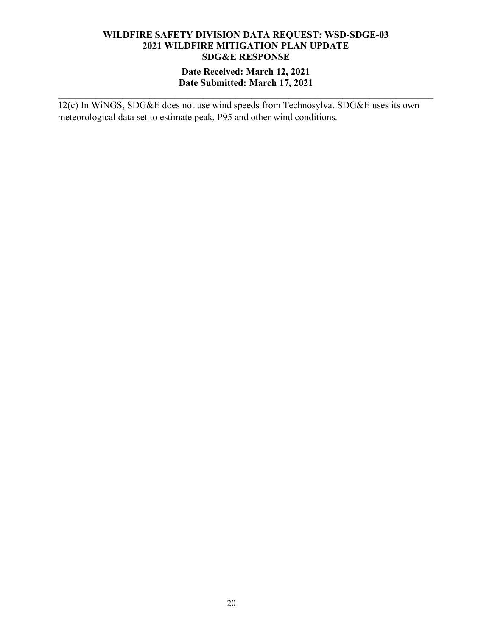### **Date Received: March 12, 2021 Date Submitted: March 17, 2021**

**\_\_\_\_\_\_\_\_\_\_\_\_\_\_\_\_\_\_\_\_\_\_\_\_\_\_\_\_\_\_\_\_\_\_\_\_\_\_\_\_\_\_\_\_\_\_\_\_\_\_\_\_\_\_\_\_\_\_\_\_\_\_\_\_\_\_\_\_\_\_**

12(c) In WiNGS, SDG&E does not use wind speeds from Technosylva. SDG&E uses its own meteorological data set to estimate peak, P95 and other wind conditions.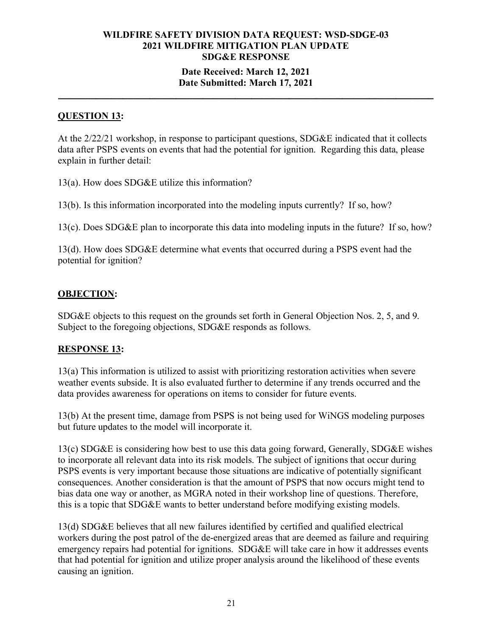### **Date Received: March 12, 2021 Date Submitted: March 17, 2021**

**\_\_\_\_\_\_\_\_\_\_\_\_\_\_\_\_\_\_\_\_\_\_\_\_\_\_\_\_\_\_\_\_\_\_\_\_\_\_\_\_\_\_\_\_\_\_\_\_\_\_\_\_\_\_\_\_\_\_\_\_\_\_\_\_\_\_\_\_\_\_**

### **QUESTION 13:**

At the 2/22/21 workshop, in response to participant questions, SDG&E indicated that it collects data after PSPS events on events that had the potential for ignition. Regarding this data, please explain in further detail:

13(a). How does SDG&E utilize this information?

13(b). Is this information incorporated into the modeling inputs currently? If so, how?

13(c). Does SDG&E plan to incorporate this data into modeling inputs in the future? If so, how?

13(d). How does SDG&E determine what events that occurred during a PSPS event had the potential for ignition?

### **OBJECTION:**

SDG&E objects to this request on the grounds set forth in General Objection Nos. 2, 5, and 9. Subject to the foregoing objections, SDG&E responds as follows.

### **RESPONSE 13:**

13(a) This information is utilized to assist with prioritizing restoration activities when severe weather events subside. It is also evaluated further to determine if any trends occurred and the data provides awareness for operations on items to consider for future events.

13(b) At the present time, damage from PSPS is not being used for WiNGS modeling purposes but future updates to the model will incorporate it.

13(c) SDG&E is considering how best to use this data going forward, Generally, SDG&E wishes to incorporate all relevant data into its risk models. The subject of ignitions that occur during PSPS events is very important because those situations are indicative of potentially significant consequences. Another consideration is that the amount of PSPS that now occurs might tend to bias data one way or another, as MGRA noted in their workshop line of questions. Therefore, this is a topic that SDG&E wants to better understand before modifying existing models.

13(d) SDG&E believes that all new failures identified by certified and qualified electrical workers during the post patrol of the de-energized areas that are deemed as failure and requiring emergency repairs had potential for ignitions. SDG&E will take care in how it addresses events that had potential for ignition and utilize proper analysis around the likelihood of these events causing an ignition.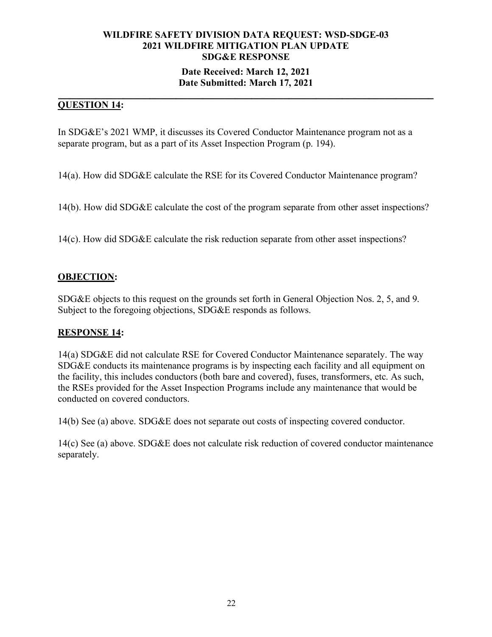### **Date Received: March 12, 2021 Date Submitted: March 17, 2021**

#### **\_\_\_\_\_\_\_\_\_\_\_\_\_\_\_\_\_\_\_\_\_\_\_\_\_\_\_\_\_\_\_\_\_\_\_\_\_\_\_\_\_\_\_\_\_\_\_\_\_\_\_\_\_\_\_\_\_\_\_\_\_\_\_\_\_\_\_\_\_\_ QUESTION 14:**

In SDG&E's 2021 WMP, it discusses its Covered Conductor Maintenance program not as a separate program, but as a part of its Asset Inspection Program (p. 194).

14(a). How did SDG&E calculate the RSE for its Covered Conductor Maintenance program?

14(b). How did SDG&E calculate the cost of the program separate from other asset inspections?

14(c). How did SDG&E calculate the risk reduction separate from other asset inspections?

### **OBJECTION:**

SDG&E objects to this request on the grounds set forth in General Objection Nos. 2, 5, and 9. Subject to the foregoing objections, SDG&E responds as follows.

### **RESPONSE 14:**

14(a) SDG&E did not calculate RSE for Covered Conductor Maintenance separately. The way SDG&E conducts its maintenance programs is by inspecting each facility and all equipment on the facility, this includes conductors (both bare and covered), fuses, transformers, etc. As such, the RSEs provided for the Asset Inspection Programs include any maintenance that would be conducted on covered conductors.

14(b) See (a) above. SDG&E does not separate out costs of inspecting covered conductor.

14(c) See (a) above. SDG&E does not calculate risk reduction of covered conductor maintenance separately.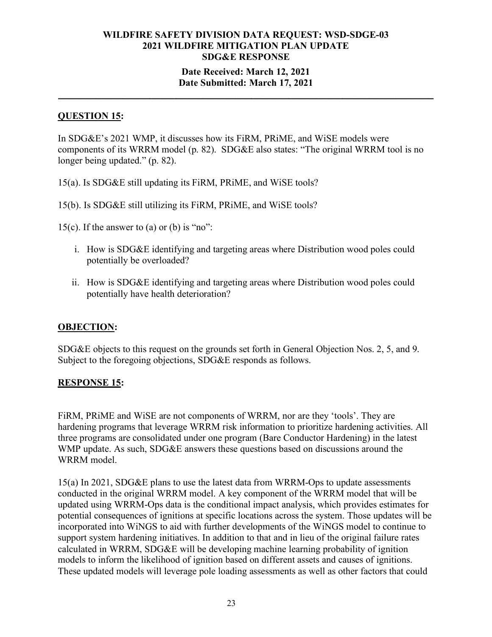### **Date Received: March 12, 2021 Date Submitted: March 17, 2021**

**\_\_\_\_\_\_\_\_\_\_\_\_\_\_\_\_\_\_\_\_\_\_\_\_\_\_\_\_\_\_\_\_\_\_\_\_\_\_\_\_\_\_\_\_\_\_\_\_\_\_\_\_\_\_\_\_\_\_\_\_\_\_\_\_\_\_\_\_\_\_**

### **QUESTION 15:**

In SDG&E's 2021 WMP, it discusses how its FiRM, PRiME, and WiSE models were components of its WRRM model (p. 82). SDG&E also states: "The original WRRM tool is no longer being updated." (p. 82).

15(a). Is SDG&E still updating its FiRM, PRiME, and WiSE tools?

15(b). Is SDG&E still utilizing its FiRM, PRiME, and WiSE tools?

15(c). If the answer to (a) or (b) is "no":

- i. How is SDG&E identifying and targeting areas where Distribution wood poles could potentially be overloaded?
- ii. How is SDG&E identifying and targeting areas where Distribution wood poles could potentially have health deterioration?

### **OBJECTION:**

SDG&E objects to this request on the grounds set forth in General Objection Nos. 2, 5, and 9. Subject to the foregoing objections, SDG&E responds as follows.

### **RESPONSE 15:**

FiRM, PRiME and WiSE are not components of WRRM, nor are they 'tools'. They are hardening programs that leverage WRRM risk information to prioritize hardening activities. All three programs are consolidated under one program (Bare Conductor Hardening) in the latest WMP update. As such, SDG&E answers these questions based on discussions around the WRRM model.

15(a) In 2021, SDG&E plans to use the latest data from WRRM-Ops to update assessments conducted in the original WRRM model. A key component of the WRRM model that will be updated using WRRM-Ops data is the conditional impact analysis, which provides estimates for potential consequences of ignitions at specific locations across the system. Those updates will be incorporated into WiNGS to aid with further developments of the WiNGS model to continue to support system hardening initiatives. In addition to that and in lieu of the original failure rates calculated in WRRM, SDG&E will be developing machine learning probability of ignition models to inform the likelihood of ignition based on different assets and causes of ignitions. These updated models will leverage pole loading assessments as well as other factors that could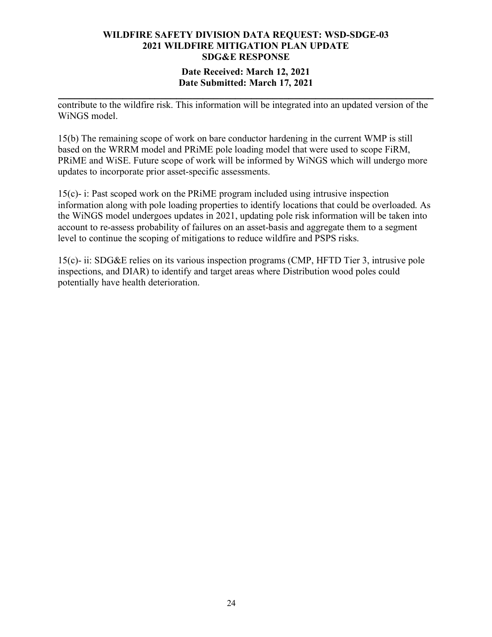### **Date Received: March 12, 2021 Date Submitted: March 17, 2021**

**\_\_\_\_\_\_\_\_\_\_\_\_\_\_\_\_\_\_\_\_\_\_\_\_\_\_\_\_\_\_\_\_\_\_\_\_\_\_\_\_\_\_\_\_\_\_\_\_\_\_\_\_\_\_\_\_\_\_\_\_\_\_\_\_\_\_\_\_\_\_** contribute to the wildfire risk. This information will be integrated into an updated version of the WiNGS model.

15(b) The remaining scope of work on bare conductor hardening in the current WMP is still based on the WRRM model and PRiME pole loading model that were used to scope FiRM, PRiME and WiSE. Future scope of work will be informed by WiNGS which will undergo more updates to incorporate prior asset-specific assessments.

15(c)- i: Past scoped work on the PRiME program included using intrusive inspection information along with pole loading properties to identify locations that could be overloaded. As the WiNGS model undergoes updates in 2021, updating pole risk information will be taken into account to re-assess probability of failures on an asset-basis and aggregate them to a segment level to continue the scoping of mitigations to reduce wildfire and PSPS risks.

15(c)- ii: SDG&E relies on its various inspection programs (CMP, HFTD Tier 3, intrusive pole inspections, and DIAR) to identify and target areas where Distribution wood poles could potentially have health deterioration.